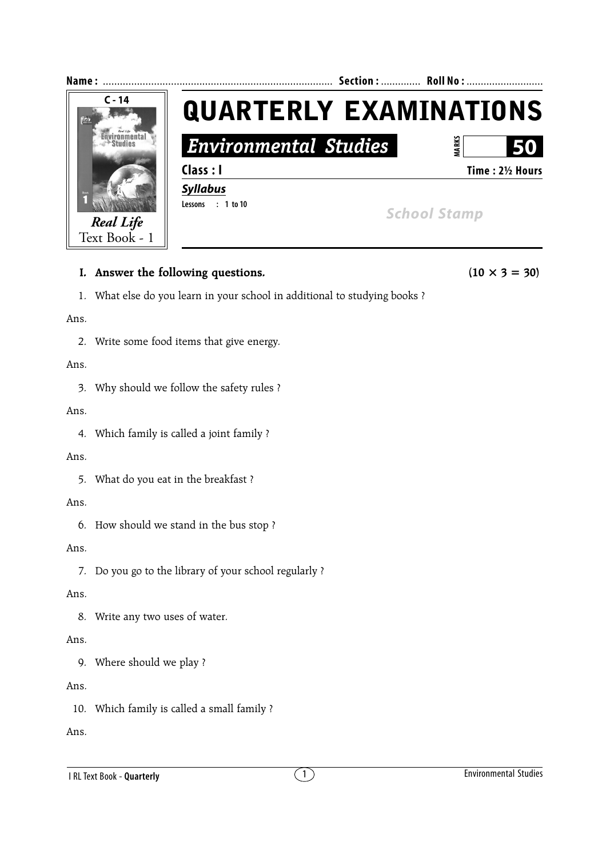

# **I.** Answer the following questions. (10  $\times$  3 = 30)

1. What else do you learn in your school in additional to studying books ?

Ans.

2. Write some food items that give energy.

## Ans.

3. Why should we follow the safety rules ?

Ans.

4. Which family is called a joint family ?

## Ans.

5. What do you eat in the breakfast ?

## Ans.

6. How should we stand in the bus stop ?

## Ans.

7. Do you go to the library of your school regularly ?

## Ans.

8. Write any two uses of water.

## Ans.

9. Where should we play ?

## Ans.

10. Which family is called a small family ?

Ans.